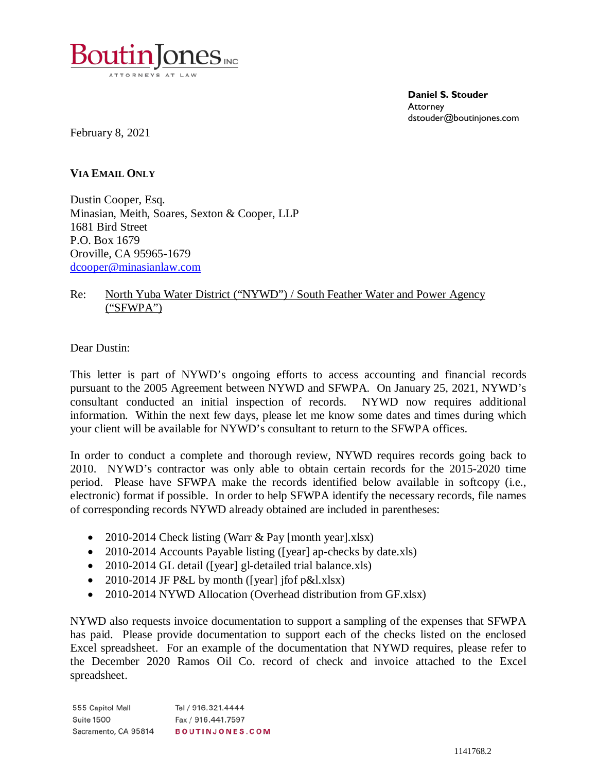![](_page_0_Picture_0.jpeg)

**Daniel S. Stouder Attorney** dstouder@boutinjones.com

February 8, 2021

**VIA EMAIL ONLY**

Dustin Cooper, Esq. Minasian, Meith, Soares, Sexton & Cooper, LLP 1681 Bird Street P.O. Box 1679 Oroville, CA 95965-1679 [dcooper@minasianlaw.com](mailto:dcooper@minasianlaw.com)

## Re: North Yuba Water District ("NYWD") / South Feather Water and Power Agency ("SFWPA")

Dear Dustin:

This letter is part of NYWD's ongoing efforts to access accounting and financial records pursuant to the 2005 Agreement between NYWD and SFWPA. On January 25, 2021, NYWD's consultant conducted an initial inspection of records. NYWD now requires additional information. Within the next few days, please let me know some dates and times during which your client will be available for NYWD's consultant to return to the SFWPA offices.

In order to conduct a complete and thorough review, NYWD requires records going back to 2010. NYWD's contractor was only able to obtain certain records for the 2015-2020 time period. Please have SFWPA make the records identified below available in softcopy (i.e., electronic) format if possible. In order to help SFWPA identify the necessary records, file names of corresponding records NYWD already obtained are included in parentheses:

- 2010-2014 Check listing (Warr & Pay [month year].xlsx)
- 2010-2014 Accounts Payable listing ([year] ap-checks by date.xls)
- 2010-2014 GL detail ([year] gl-detailed trial balance.xls)
- 2010-2014 JF P&L by month ([year] jfof p&l.xlsx)
- 2010-2014 NYWD Allocation (Overhead distribution from GF.xlsx)

NYWD also requests invoice documentation to support a sampling of the expenses that SFWPA has paid. Please provide documentation to support each of the checks listed on the enclosed Excel spreadsheet. For an example of the documentation that NYWD requires, please refer to the December 2020 Ramos Oil Co. record of check and invoice attached to the Excel spreadsheet.